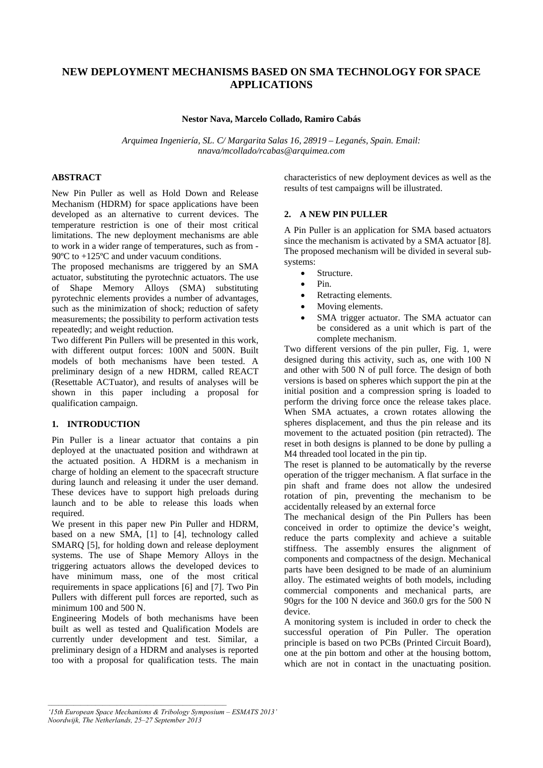# **NEW DEPLOYMENT MECHANISMS BASED ON SMA TECHNOLOGY FOR SPACE APPLICATIONS**

### **Nestor Nava, Marcelo Collado, Ramiro Cabás**

*Arquimea Ingeniería, SL. C/ Margarita Salas 16, 28919 – Leganés, Spain. Email: nnava/mcollado/rcabas@arquimea.com* 

## **ABSTRACT**

New Pin Puller as well as Hold Down and Release Mechanism (HDRM) for space applications have been developed as an alternative to current devices. The temperature restriction is one of their most critical limitations. The new deployment mechanisms are able to work in a wider range of temperatures, such as from - 90ºC to +125ºC and under vacuum conditions.

The proposed mechanisms are triggered by an SMA actuator, substituting the pyrotechnic actuators. The use of Shape Memory Alloys (SMA) substituting pyrotechnic elements provides a number of advantages, such as the minimization of shock; reduction of safety measurements; the possibility to perform activation tests repeatedly; and weight reduction.

Two different Pin Pullers will be presented in this work, with different output forces: 100N and 500N. Built models of both mechanisms have been tested. A preliminary design of a new HDRM, called REACT (Resettable ACTuator), and results of analyses will be shown in this paper including a proposal for qualification campaign.

#### **1. INTRODUCTION**

Pin Puller is a linear actuator that contains a pin deployed at the unactuated position and withdrawn at the actuated position. A HDRM is a mechanism in charge of holding an element to the spacecraft structure during launch and releasing it under the user demand. These devices have to support high preloads during launch and to be able to release this loads when required.

We present in this paper new Pin Puller and HDRM, based on a new SMA, [1] to [4], technology called SMARQ [5], for holding down and release deployment systems. The use of Shape Memory Alloys in the triggering actuators allows the developed devices to have minimum mass, one of the most critical requirements in space applications [6] and [7]. Two Pin Pullers with different pull forces are reported, such as minimum 100 and 500 N.

Engineering Models of both mechanisms have been built as well as tested and Qualification Models are currently under development and test. Similar, a preliminary design of a HDRM and analyses is reported too with a proposal for qualification tests. The main characteristics of new deployment devices as well as the results of test campaigns will be illustrated.

## **2. A NEW PIN PULLER**

A Pin Puller is an application for SMA based actuators since the mechanism is activated by a SMA actuator [8]. The proposed mechanism will be divided in several subsystems:

- Structure.
- Pin.
- Retracting elements.
- Moving elements.
- SMA trigger actuator. The SMA actuator can be considered as a unit which is part of the complete mechanism.

Two different versions of the pin puller, Fig. 1, were designed during this activity, such as, one with 100 N and other with 500 N of pull force. The design of both versions is based on spheres which support the pin at the initial position and a compression spring is loaded to perform the driving force once the release takes place. When SMA actuates, a crown rotates allowing the spheres displacement, and thus the pin release and its movement to the actuated position (pin retracted). The reset in both designs is planned to be done by pulling a M4 threaded tool located in the pin tip.

The reset is planned to be automatically by the reverse operation of the trigger mechanism. A flat surface in the pin shaft and frame does not allow the undesired rotation of pin, preventing the mechanism to be accidentally released by an external force

The mechanical design of the Pin Pullers has been conceived in order to optimize the device's weight, reduce the parts complexity and achieve a suitable stiffness. The assembly ensures the alignment of components and compactness of the design. Mechanical parts have been designed to be made of an aluminium alloy. The estimated weights of both models, including commercial components and mechanical parts, are 90grs for the 100 N device and 360.0 grs for the 500 N device.

A monitoring system is included in order to check the successful operation of Pin Puller. The operation principle is based on two PCBs (Printed Circuit Board), one at the pin bottom and other at the housing bottom, which are not in contact in the unactuating position.

*<sup>&#</sup>x27;15th European Space Mechanisms & Tribology Symposium – ESMATS 2013' Noordwijk, The Netherlands, 25–27 September 2013*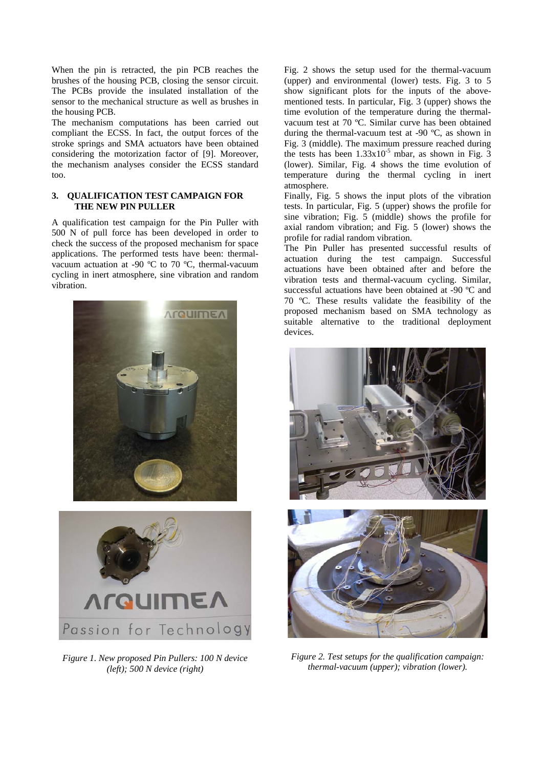When the pin is retracted, the pin PCB reaches the brushes of the housing PCB, closing the sensor circuit. The PCBs provide the insulated installation of the sensor to the mechanical structure as well as brushes in the housing PCB.

The mechanism computations has been carried out compliant the ECSS. In fact, the output forces of the stroke springs and SMA actuators have been obtained considering the motorization factor of [9]. Moreover, the mechanism analyses consider the ECSS standard too.

## **3. QUALIFICATION TEST CAMPAIGN FOR THE NEW PIN PULLER**

A qualification test campaign for the Pin Puller with 500 N of pull force has been developed in order to check the success of the proposed mechanism for space applications. The performed tests have been: thermalvacuum actuation at -90 ºC to 70 ºC, thermal-vacuum cycling in inert atmosphere, sine vibration and random vibration.





*Figure 1. New proposed Pin Pullers: 100 N device (left); 500 N device (right)* 

Fig. 2 shows the setup used for the thermal-vacuum (upper) and environmental (lower) tests. Fig. 3 to 5 show significant plots for the inputs of the abovementioned tests. In particular, Fig. 3 (upper) shows the time evolution of the temperature during the thermalvacuum test at 70 ºC. Similar curve has been obtained during the thermal-vacuum test at -90 ºC, as shown in Fig. 3 (middle). The maximum pressure reached during the tests has been  $1.33 \times 10^{-5}$  mbar, as shown in Fig. 3 (lower). Similar, Fig. 4 shows the time evolution of temperature during the thermal cycling in inert atmosphere.

Finally, Fig. 5 shows the input plots of the vibration tests. In particular, Fig. 5 (upper) shows the profile for sine vibration; Fig. 5 (middle) shows the profile for axial random vibration; and Fig. 5 (lower) shows the profile for radial random vibration.

The Pin Puller has presented successful results of actuation during the test campaign. Successful actuations have been obtained after and before the vibration tests and thermal-vacuum cycling. Similar, successful actuations have been obtained at -90 ºC and 70 ºC. These results validate the feasibility of the proposed mechanism based on SMA technology as suitable alternative to the traditional deployment devices.





*Figure 2. Test setups for the qualification campaign: thermal-vacuum (upper); vibration (lower).*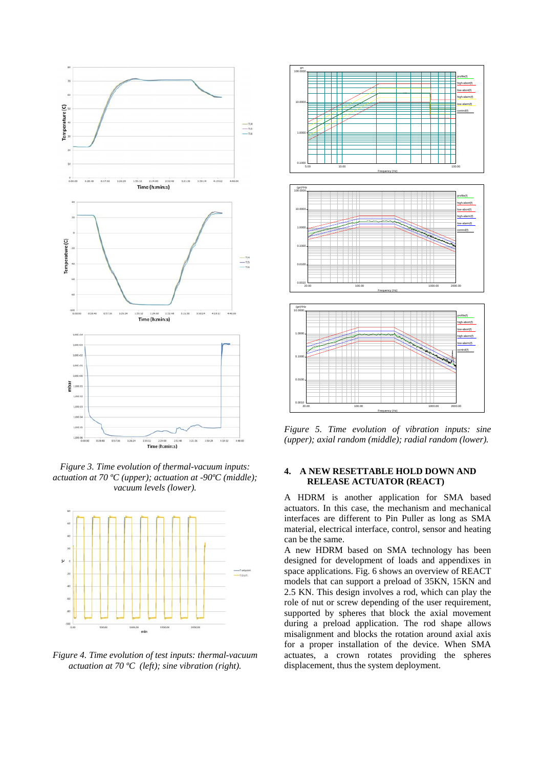

*Figure 3. Time evolution of thermal-vacuum inputs: actuation at 70 ºC (upper); actuation at -90ºC (middle); vacuum levels (lower).* 



*Figure 4. Time evolution of test inputs: thermal-vacuum actuation at 70 ºC (left); sine vibration (right).* 



*Figure 5. Time evolution of vibration inputs: sine (upper); axial random (middle); radial random (lower).*

## **4. A NEW RESETTABLE HOLD DOWN AND RELEASE ACTUATOR (REACT)**

A HDRM is another application for SMA based actuators. In this case, the mechanism and mechanical interfaces are different to Pin Puller as long as SMA material, electrical interface, control, sensor and heating can be the same.

A new HDRM based on SMA technology has been designed for development of loads and appendixes in space applications. Fig. 6 shows an overview of REACT models that can support a preload of 35KN, 15KN and 2.5 KN. This design involves a rod, which can play the role of nut or screw depending of the user requirement, supported by spheres that block the axial movement during a preload application. The rod shape allows misalignment and blocks the rotation around axial axis for a proper installation of the device. When SMA actuates, a crown rotates providing the spheres displacement, thus the system deployment.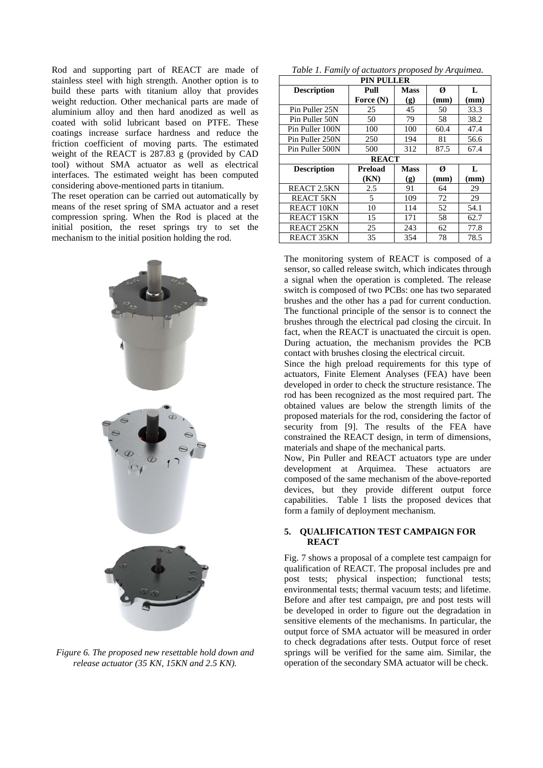Rod and supporting part of REACT are made of stainless steel with high strength. Another option is to build these parts with titanium alloy that provides weight reduction. Other mechanical parts are made of aluminium alloy and then hard anodized as well as coated with solid lubricant based on PTFE. These coatings increase surface hardness and reduce the friction coefficient of moving parts. The estimated weight of the REACT is 287.83 g (provided by CAD tool) without SMA actuator as well as electrical interfaces. The estimated weight has been computed considering above-mentioned parts in titanium.

The reset operation can be carried out automatically by means of the reset spring of SMA actuator and a reset compression spring. When the Rod is placed at the initial position, the reset springs try to set the mechanism to the initial position holding the rod.



*Figure 6. The proposed new resettable hold down and release actuator (35 KN, 15KN and 2.5 KN).* 

|  |  | Table 1. Family of actuators proposed by Arquimea. |
|--|--|----------------------------------------------------|
|--|--|----------------------------------------------------|

| <b>PIN PULLER</b>  |           |             |      |      |  |  |
|--------------------|-----------|-------------|------|------|--|--|
| <b>Description</b> | Pull      | <b>Mass</b> | Ø    | L    |  |  |
|                    | Force (N) | (g)         | (mm) | (mm) |  |  |
| Pin Puller 25N     | 25        | 45          | 50   | 33.3 |  |  |
| Pin Puller 50N     | 50        | 79          | 58   | 38.2 |  |  |
| Pin Puller 100N    | 100       | 100         | 60.4 | 47.4 |  |  |
| Pin Puller 250N    | 250       | 194         | 81   | 56.6 |  |  |
| Pin Puller 500N    | 500       | 312         | 87.5 | 67.4 |  |  |
| <b>REACT</b>       |           |             |      |      |  |  |
| <b>Description</b> | Preload   | <b>Mass</b> | Ø    | L    |  |  |
|                    | (KN)      | (g)         | (mm) | (mm) |  |  |
| REACT 2.5KN        | 2.5       | 91          | 64   | 29   |  |  |
| <b>REACT 5KN</b>   | 5         | 109         | 72   | 29   |  |  |
| <b>REACT 10KN</b>  | 10        | 114         | 52   | 54.1 |  |  |
| REACT 15KN         | 15        | 171         | 58   | 62.7 |  |  |
| REACT 25KN         | 25        | 243         | 62   | 77.8 |  |  |
| REACT 35KN         | 35        | 354         | 78   | 78.5 |  |  |

The monitoring system of REACT is composed of a sensor, so called release switch, which indicates through a signal when the operation is completed. The release switch is composed of two PCBs: one has two separated brushes and the other has a pad for current conduction. The functional principle of the sensor is to connect the brushes through the electrical pad closing the circuit. In fact, when the REACT is unactuated the circuit is open. During actuation, the mechanism provides the PCB contact with brushes closing the electrical circuit.

Since the high preload requirements for this type of actuators, Finite Element Analyses (FEA) have been developed in order to check the structure resistance. The rod has been recognized as the most required part. The obtained values are below the strength limits of the proposed materials for the rod, considering the factor of security from [9]. The results of the FEA have constrained the REACT design, in term of dimensions, materials and shape of the mechanical parts.

Now, Pin Puller and REACT actuators type are under development at Arquimea. These actuators are composed of the same mechanism of the above-reported devices, but they provide different output force capabilities. Table 1 lists the proposed devices that form a family of deployment mechanism.

#### **5. QUALIFICATION TEST CAMPAIGN FOR REACT**

Fig. 7 shows a proposal of a complete test campaign for qualification of REACT. The proposal includes pre and post tests; physical inspection; functional tests; environmental tests; thermal vacuum tests; and lifetime. Before and after test campaign, pre and post tests will be developed in order to figure out the degradation in sensitive elements of the mechanisms. In particular, the output force of SMA actuator will be measured in order to check degradations after tests. Output force of reset springs will be verified for the same aim. Similar, the operation of the secondary SMA actuator will be check.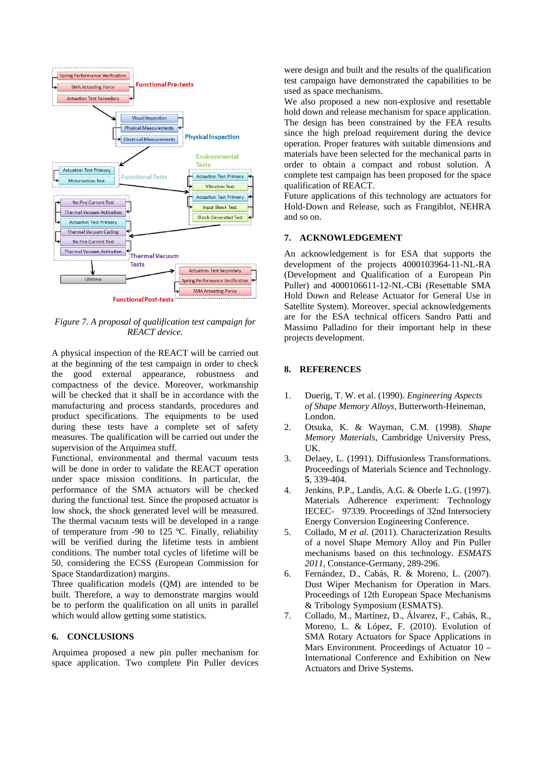

*Figure 7. A proposal of qualification test campaign for REACT device.* 

A physical inspection of the REACT will be carried out at the beginning of the test campaign in order to check the good external appearance, robustness and compactness of the device. Moreover, workmanship will be checked that it shall be in accordance with the manufacturing and process standards, procedures and product specifications. The equipments to be used during these tests have a complete set of safety measures. The qualification will be carried out under the supervision of the Arquimea stuff.

Functional, environmental and thermal vacuum tests will be done in order to validate the REACT operation under space mission conditions. In particular, the performance of the SMA actuators will be checked during the functional test. Since the proposed actuator is low shock, the shock generated level will be measured. The thermal vacuum tests will be developed in a range of temperature from -90 to 125 ºC. Finally, reliability will be verified during the lifetime tests in ambient conditions. The number total cycles of lifetime will be 50, considering the ECSS (European Commission for Space Standardization) margins.

Three qualification models (QM) are intended to be built. Therefore, a way to demonstrate margins would be to perform the qualification on all units in parallel which would allow getting some statistics.

#### **6. CONCLUSIONS**

Arquimea proposed a new pin puller mechanism for space application. Two complete Pin Puller devices were design and built and the results of the qualification test campaign have demonstrated the capabilities to be used as space mechanisms.

We also proposed a new non-explosive and resettable hold down and release mechanism for space application. The design has been constrained by the FEA results since the high preload requirement during the device operation. Proper features with suitable dimensions and materials have been selected for the mechanical parts in order to obtain a compact and robust solution. A complete test campaign has been proposed for the space qualification of REACT.

Future applications of this technology are actuators for Hold-Down and Release, such as Frangiblot, NEHRA and so on.

## **7. ACKNOWLEDGEMENT**

An acknowledgement is for ESA that supports the development of the projects 4000103964-11-NL-RA (Development and Qualification of a European Pin Puller) and 4000106611-12-NL-CBi (Resettable SMA Hold Down and Release Actuator for General Use in Satellite System). Moreover, special acknowledgements are for the ESA technical officers Sandro Patti and Massimo Palladino for their important help in these projects development.

#### **8. REFERENCES**

- 1. Duerig, T. W. et al. (1990). *Engineering Aspects of Shape Memory Alloys,* Butterworth-Heineman, London.
- 2. Otsuka, K. & Wayman, C.M. (1998). *Shape Memory Materials*, Cambridge University Press, UK.
- 3. Delaey, L. (1991). Diffusionless Transformations. Proceedings of Materials Science and Technology. **5**, 339-404.
- 4. Jenkins, P.P., Landis, A.G. & Oberle L.G. (1997). Materials Adherence experiment: Technology IECEC- 97339. Proceedings of 32nd Intersociety Energy Conversion Engineering Conference.
- 5. Collado, M *et al*. (2011). Characterization Results of a novel Shape Memory Alloy and Pin Puller mechanisms based on this technology. *ESMATS 2011*, Constance-Germany, 289-296.
- 6. Fernández, D., Cabás, R. & Moreno, L. (2007). Dust Wiper Mechanism for Operation in Mars. Proceedings of 12th European Space Mechanisms & Tribology Symposium (ESMATS).
- 7. Collado, M., Martínez, D., Álvarez, F., Cabás, R., Moreno, L. & López, F. (2010). Evolution of SMA Rotary Actuators for Space Applications in Mars Environment. Proceedings of Actuator 10 – International Conference and Exhibition on New Actuators and Drive Systems.